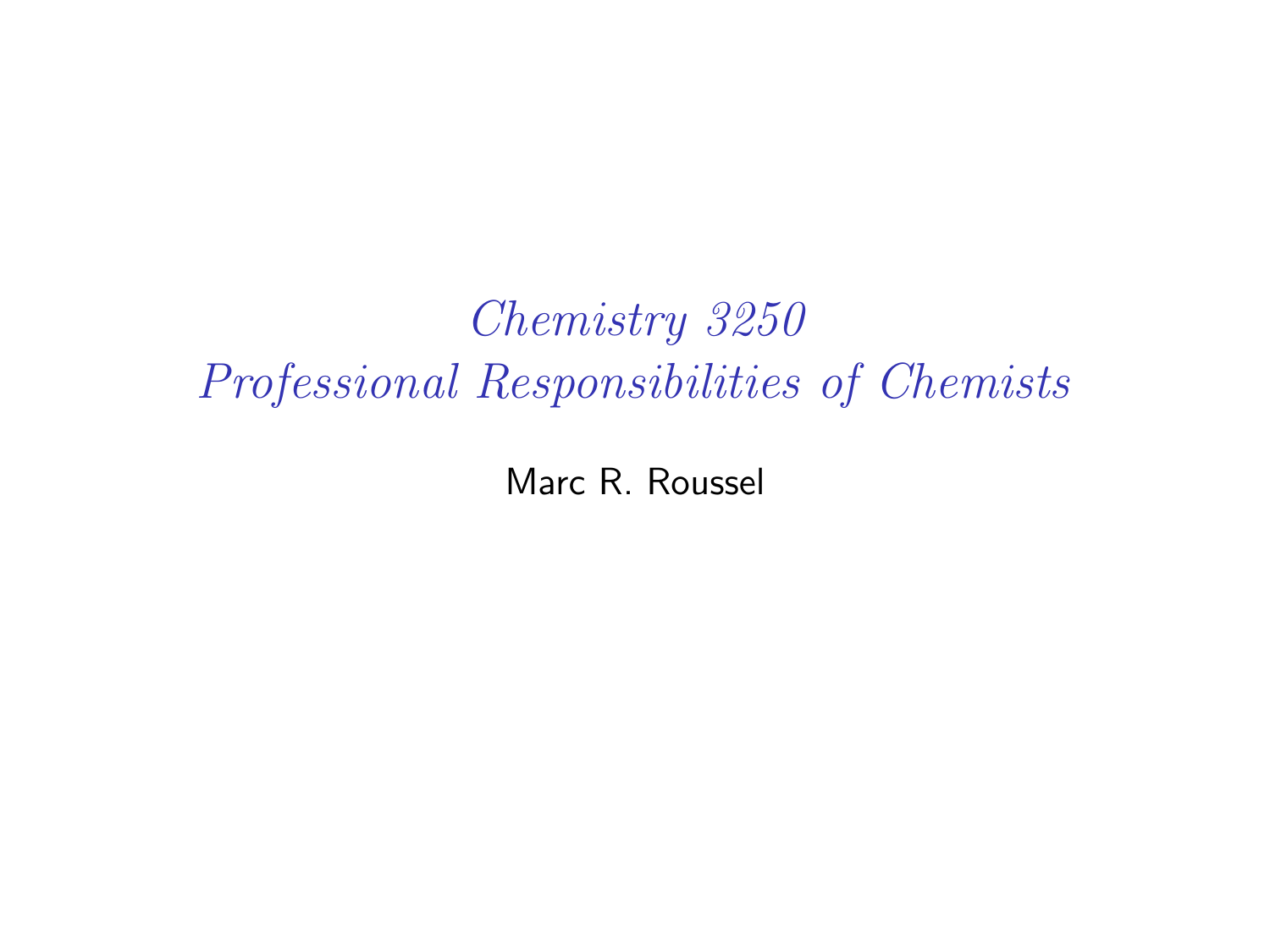Chemistry 3250 Professional Responsibilities of Chemists

Marc R. Roussel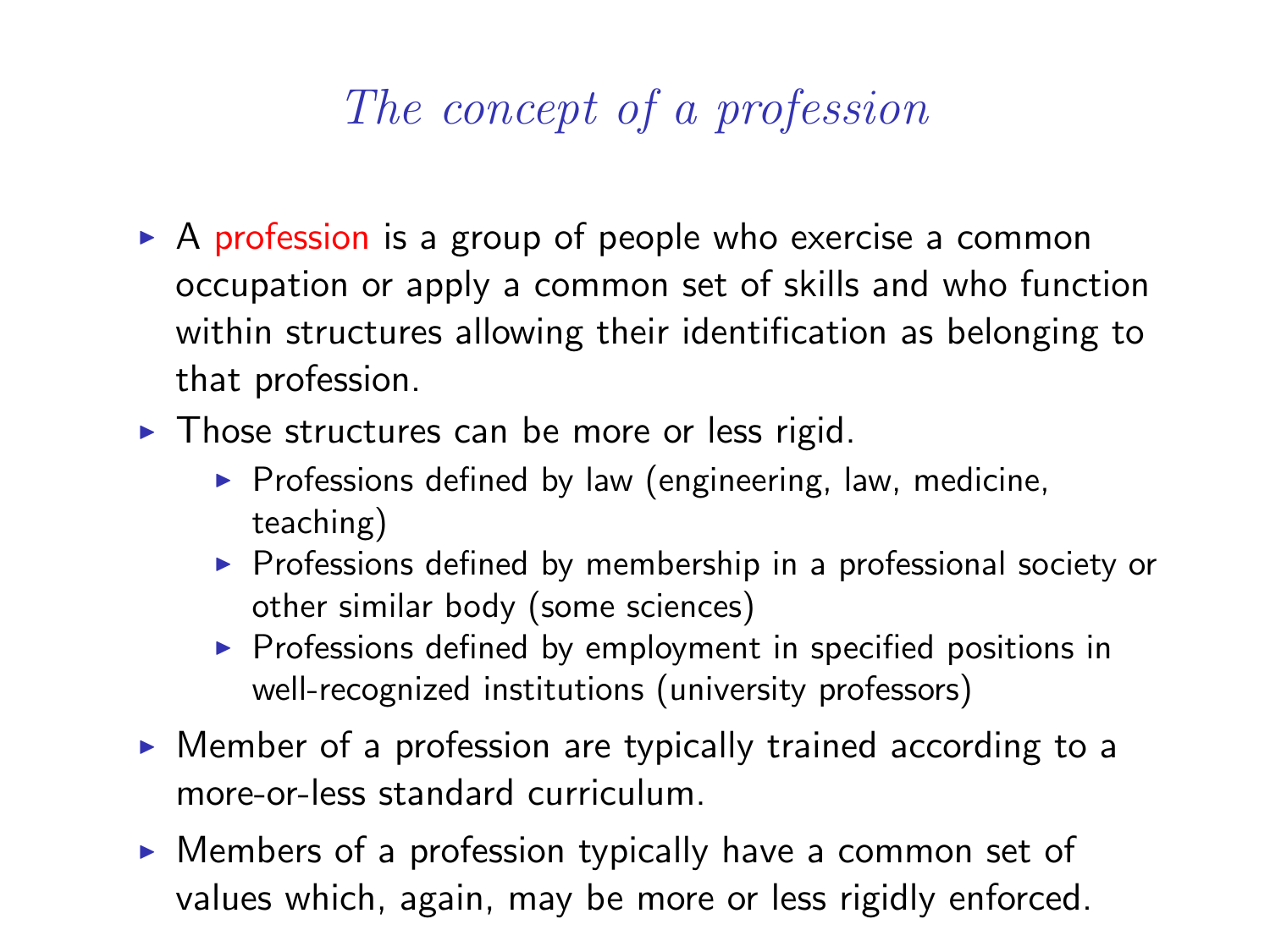# The concept of a profession

- $\triangleright$  A profession is a group of people who exercise a common occupation or apply a common set of skills and who function within structures allowing their identification as belonging to that profession.
- $\triangleright$  Those structures can be more or less rigid.
	- $\triangleright$  Professions defined by law (engineering, law, medicine, teaching)
	- $\triangleright$  Professions defined by membership in a professional society or other similar body (some sciences)
	- $\triangleright$  Professions defined by employment in specified positions in well-recognized institutions (university professors)
- $\triangleright$  Member of a profession are typically trained according to a more-or-less standard curriculum.
- $\triangleright$  Members of a profession typically have a common set of values which, again, may be more or less rigidly enforced.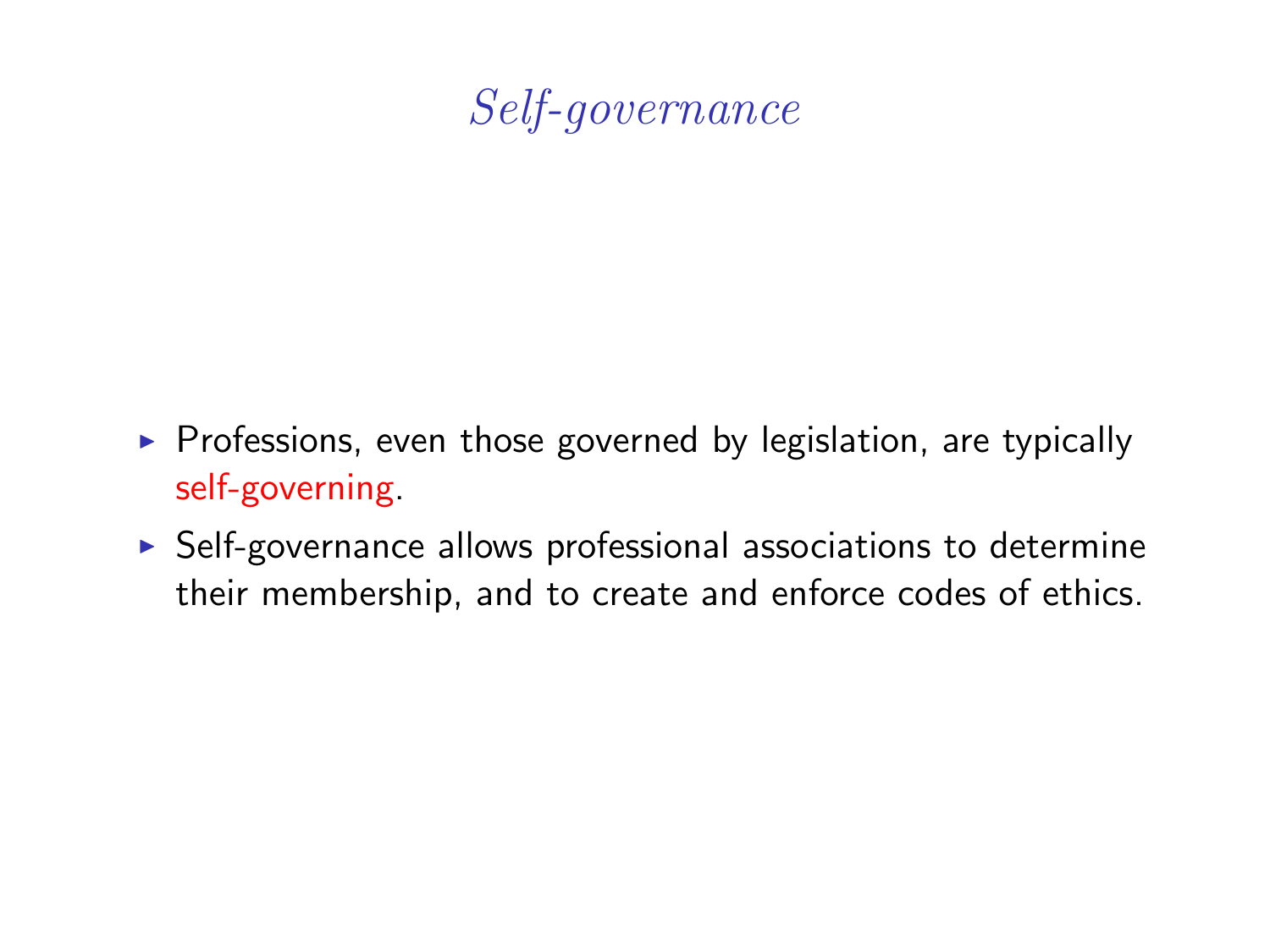## Self-governance

- $\triangleright$  Professions, even those governed by legislation, are typically self-governing.
- $\triangleright$  Self-governance allows professional associations to determine their membership, and to create and enforce codes of ethics.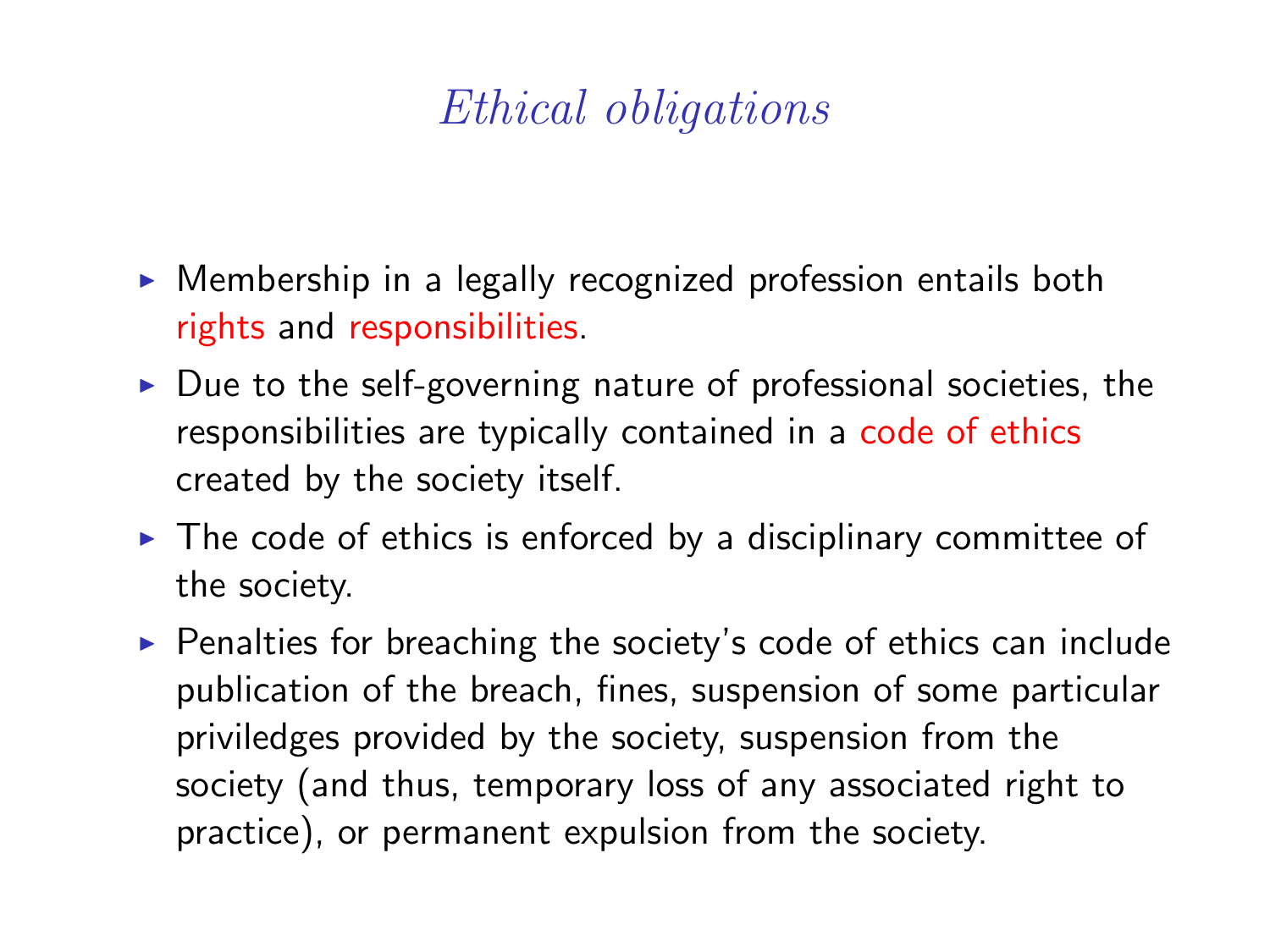# Ethical obligations

- $\triangleright$  Membership in a legally recognized profession entails both rights and responsibilities.
- $\triangleright$  Due to the self-governing nature of professional societies, the responsibilities are typically contained in a code of ethics created by the society itself.
- $\triangleright$  The code of ethics is enforced by a disciplinary committee of the society.
- $\triangleright$  Penalties for breaching the society's code of ethics can include publication of the breach, fines, suspension of some particular priviledges provided by the society, suspension from the society (and thus, temporary loss of any associated right to practice), or permanent expulsion from the society.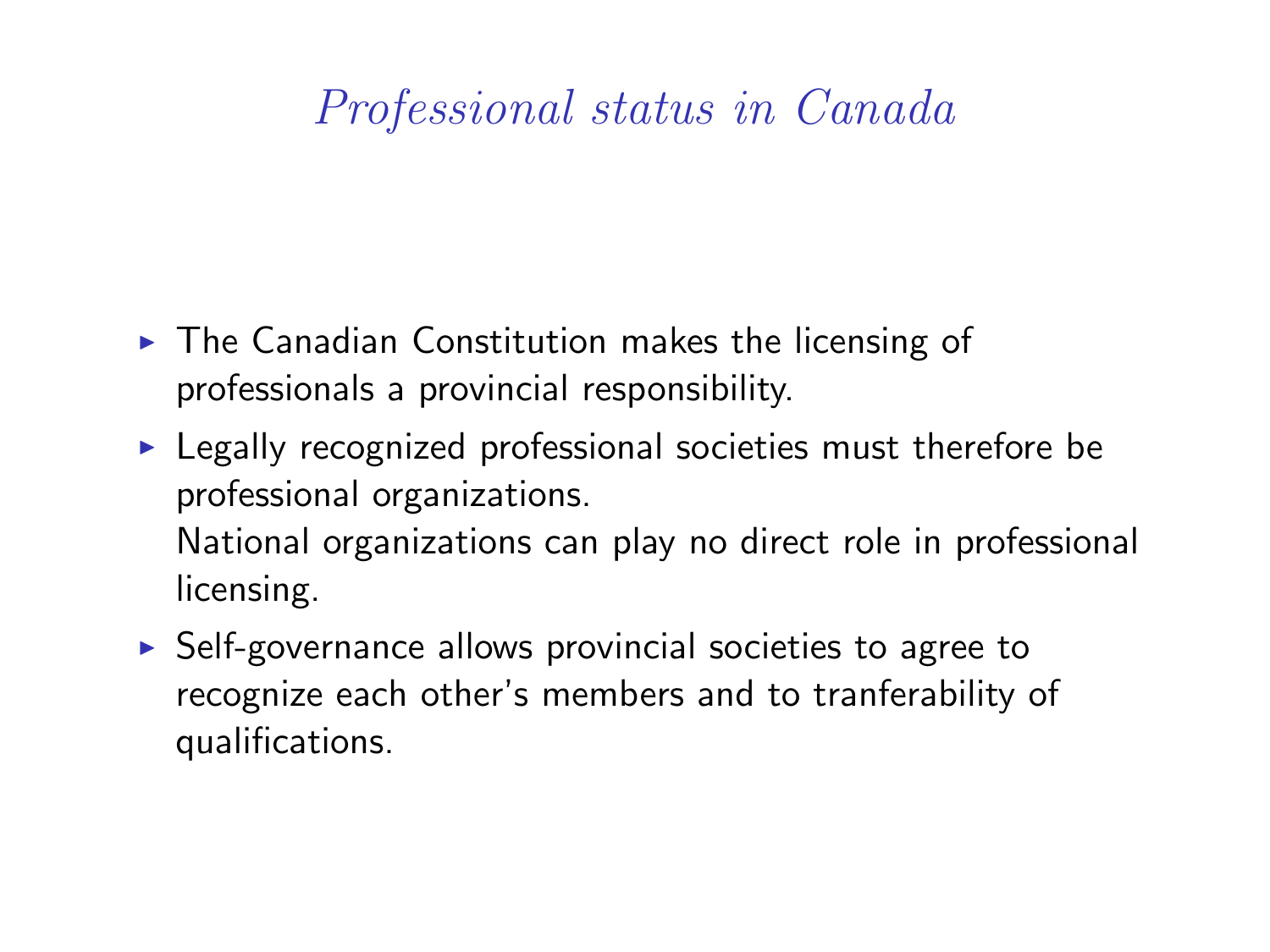## Professional status in Canada

- $\triangleright$  The Canadian Constitution makes the licensing of professionals a provincial responsibility.
- $\blacktriangleright$  Legally recognized professional societies must therefore be professional organizations. National organizations can play no direct role in professional licensing.
- $\triangleright$  Self-governance allows provincial societies to agree to recognize each other's members and to tranferability of qualifications.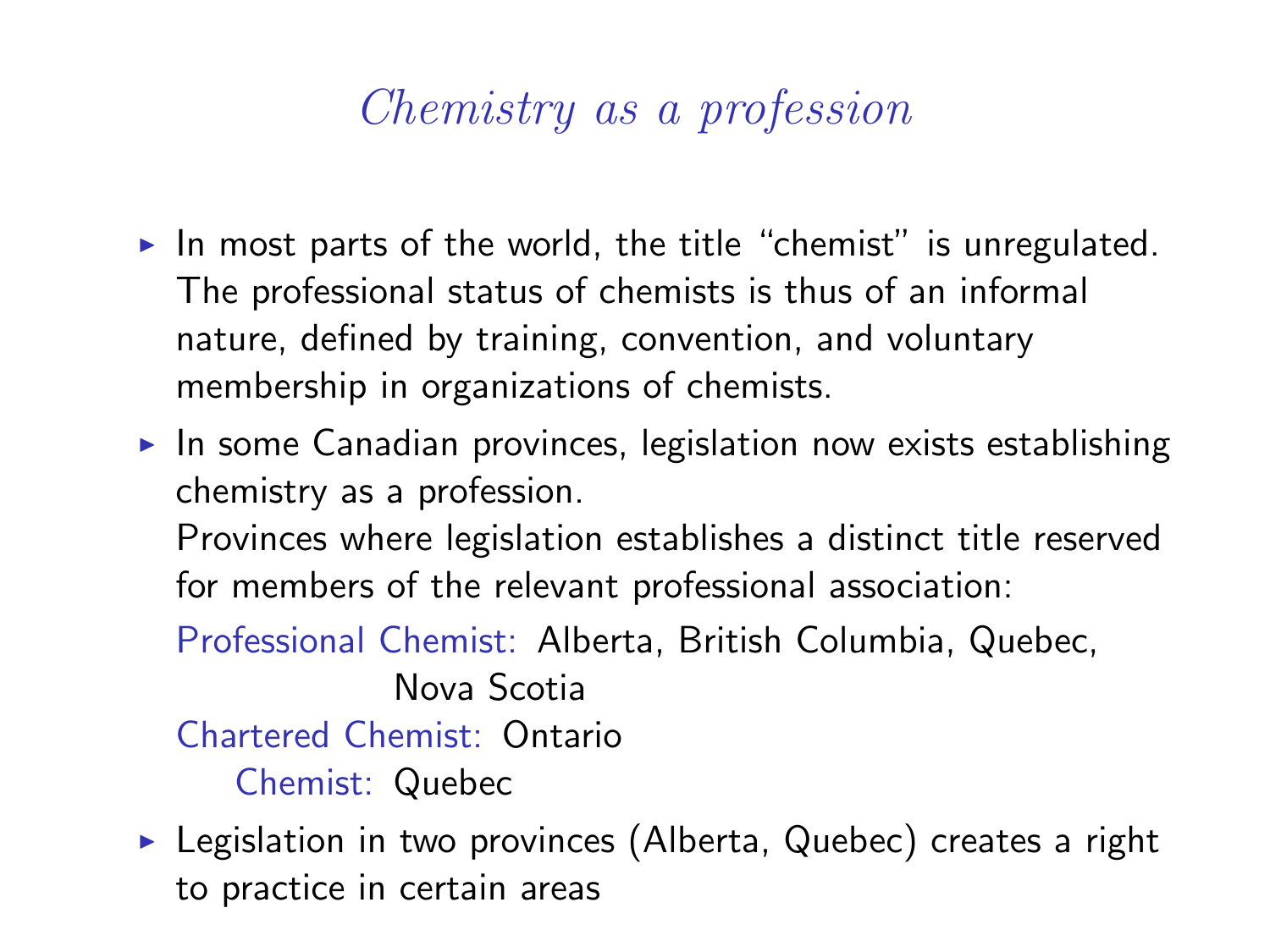## Chemistry as a profession

- In most parts of the world, the title "chemist" is unregulated. The professional status of chemists is thus of an informal nature, defined by training, convention, and voluntary membership in organizations of chemists.
- $\triangleright$  In some Canadian provinces, legislation now exists establishing chemistry as a profession.

Provinces where legislation establishes a distinct title reserved for members of the relevant professional association:

Professional Chemist: Alberta, British Columbia, Quebec, Nova Scotia

Chartered Chemist: Ontario

Chemist: Quebec

 $\triangleright$  Legislation in two provinces (Alberta, Quebec) creates a right to practice in certain areas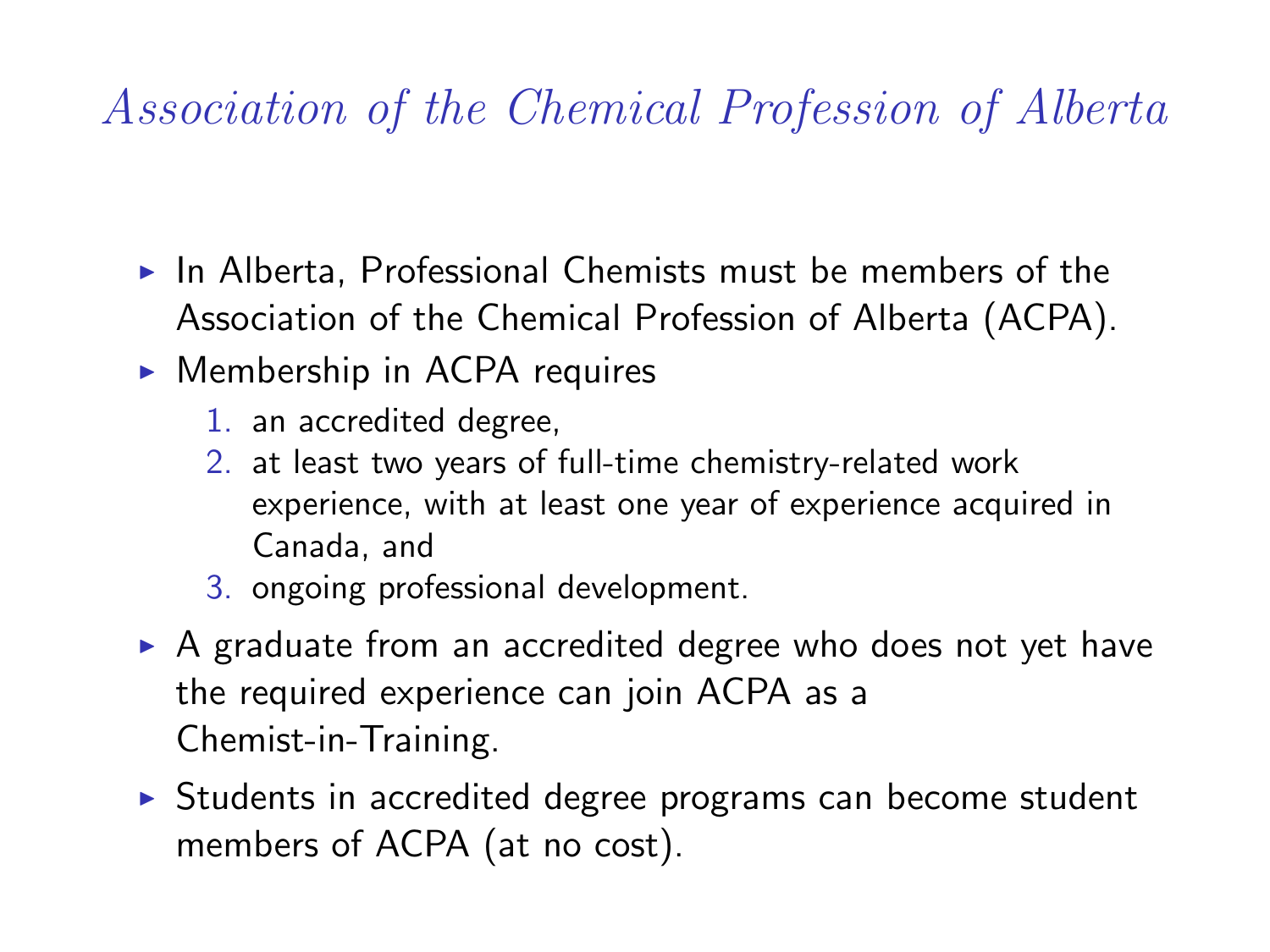# Association of the Chemical Profession of Alberta

- $\blacktriangleright$  In Alberta, Professional Chemists must be members of the Association of the Chemical Profession of Alberta (ACPA).
- $\triangleright$  Membership in ACPA requires
	- 1. an accredited degree,
	- 2. at least two years of full-time chemistry-related work experience, with at least one year of experience acquired in Canada, and
	- 3. ongoing professional development.
- $\triangleright$  A graduate from an accredited degree who does not yet have the required experience can join ACPA as a Chemist-in-Training.
- $\triangleright$  Students in accredited degree programs can become student members of ACPA (at no cost).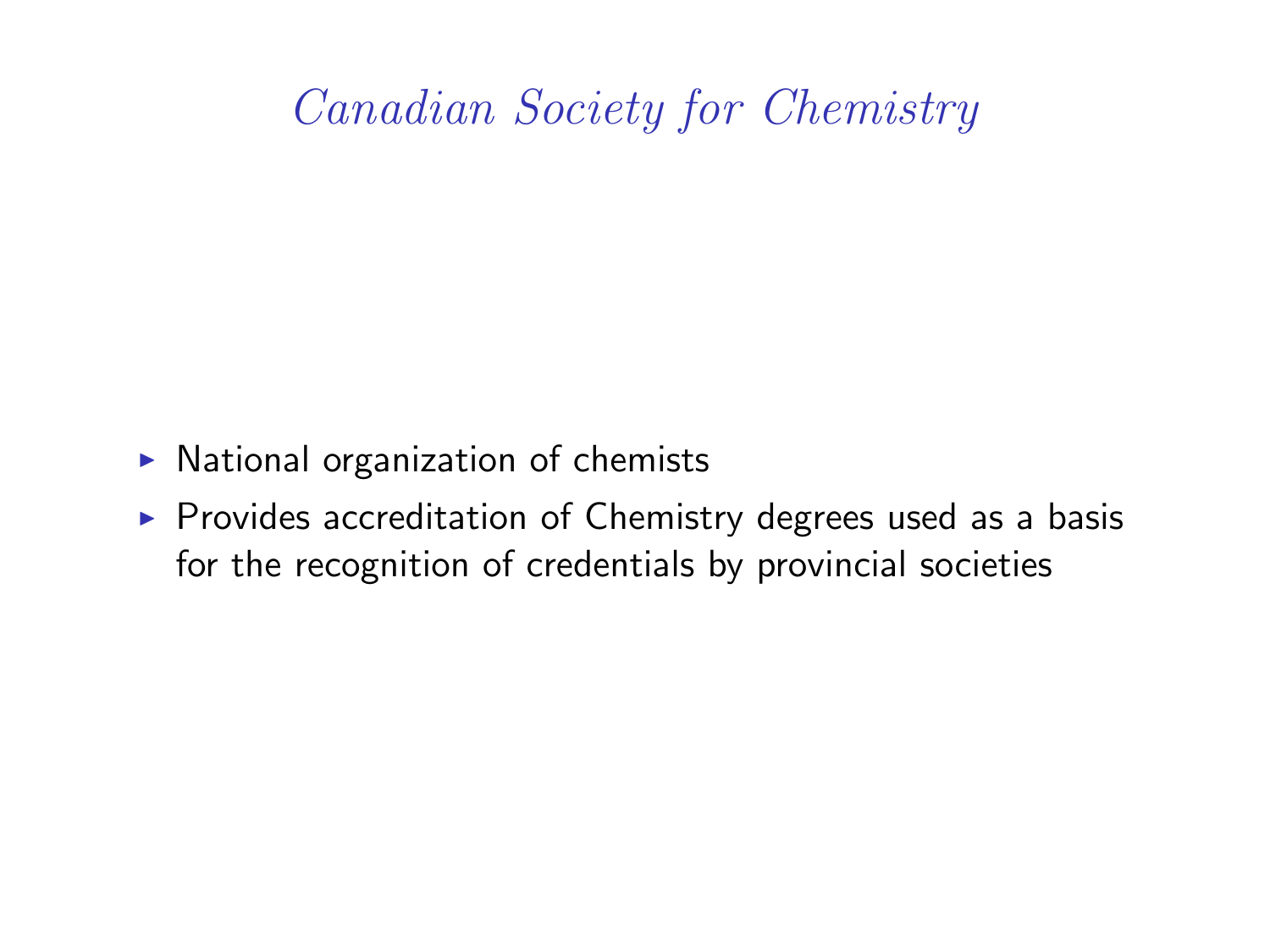## Canadian Society for Chemistry

- $\triangleright$  National organization of chemists
- $\triangleright$  Provides accreditation of Chemistry degrees used as a basis for the recognition of credentials by provincial societies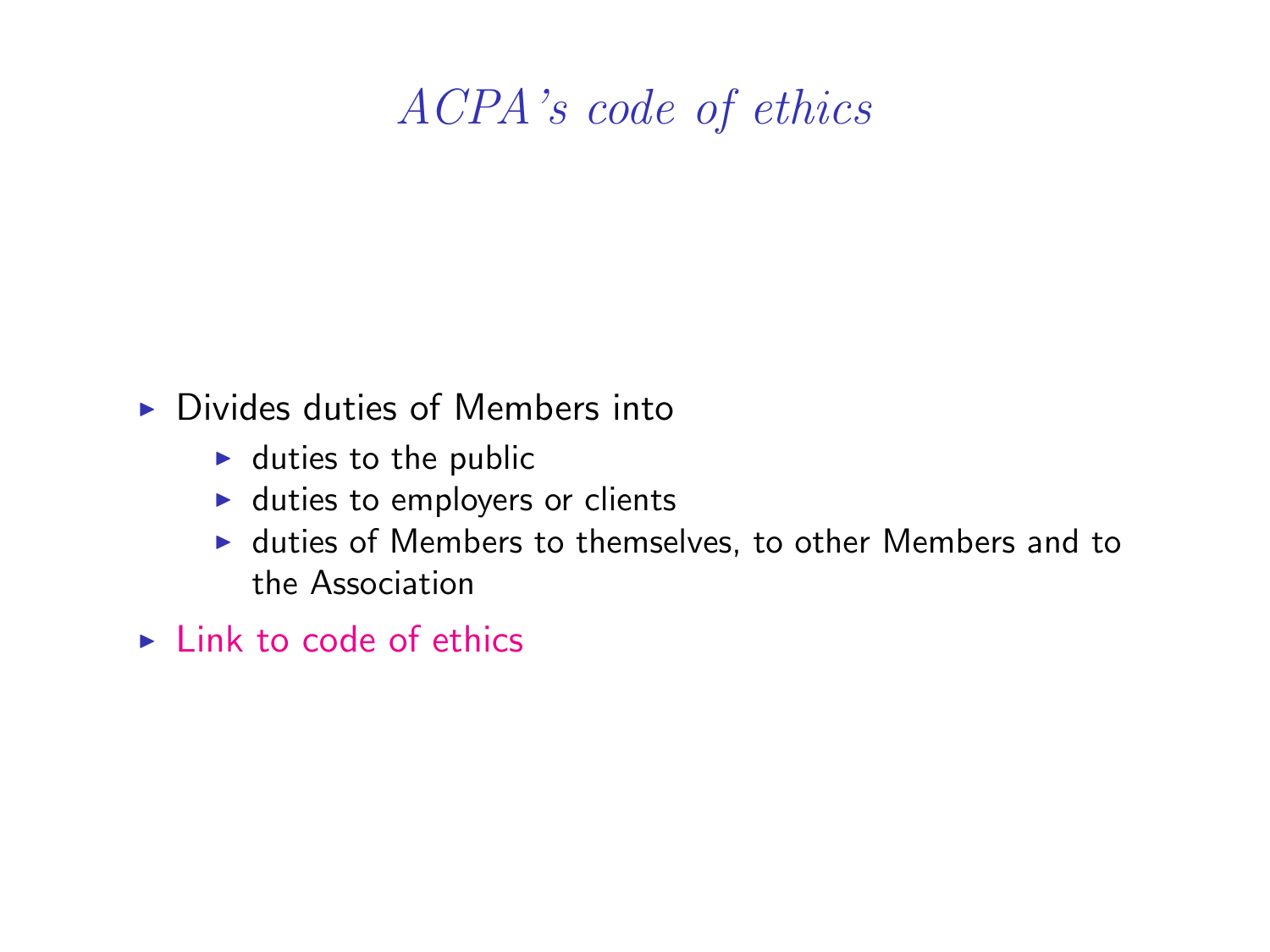## ACPA's code of ethics

#### $\triangleright$  Divides duties of Members into

- $\blacktriangleright$  duties to the public
- $\blacktriangleright$  duties to employers or clients
- $\blacktriangleright$  duties of Members to themselves, to other Members and to the Association
- $\blacktriangleright$  [Link to code of ethics](http://www.pchem.ca/ethics)